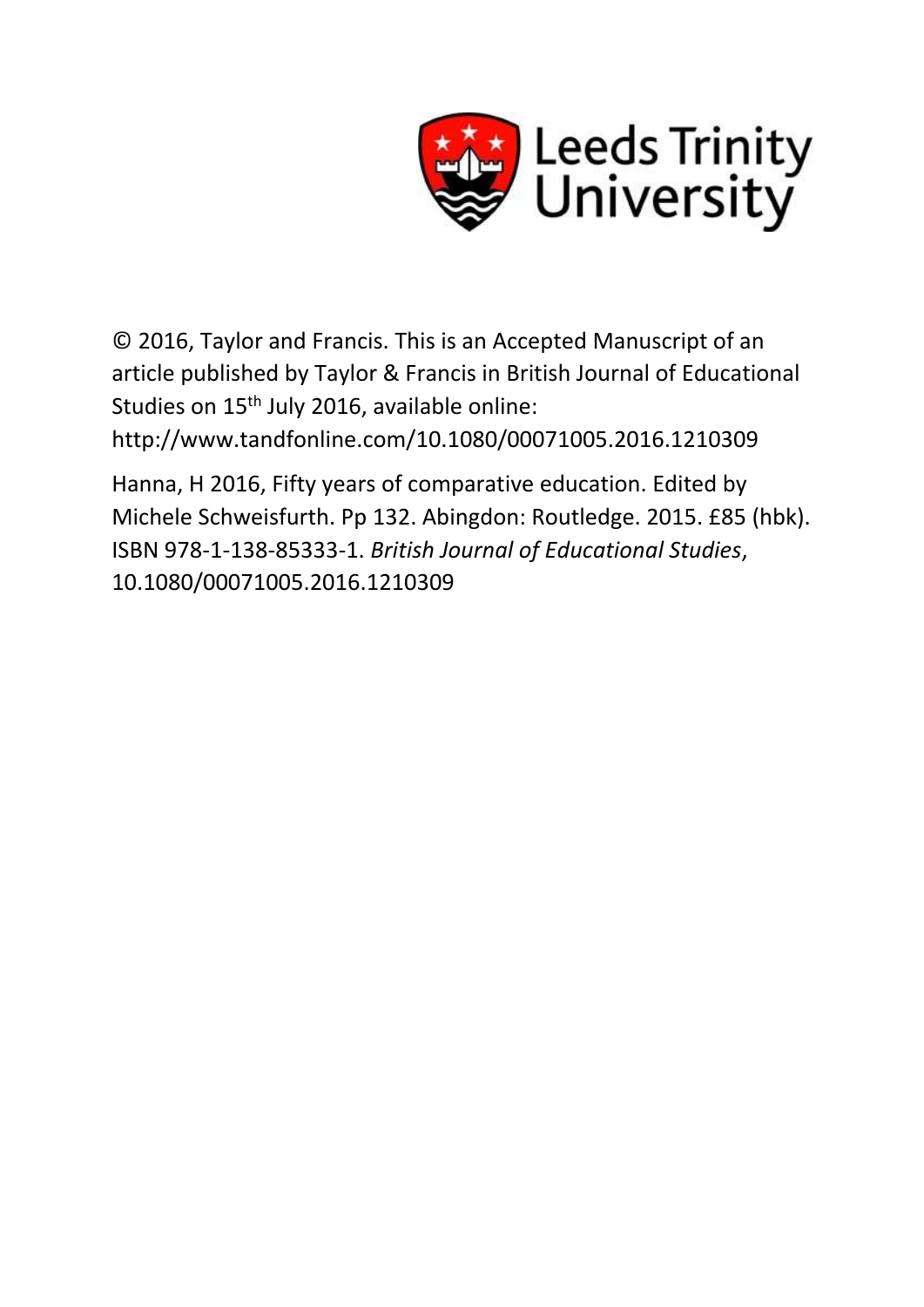

© 2016, Taylor and Francis. This is an Accepted Manuscript of an article published by Taylor & Francis in British Journal of Educational Studies on 15<sup>th</sup> July 2016, available online:

http://www.tandfonline.com/10.1080/00071005.2016.1210309

Hanna, H 2016, Fifty years of comparative education. Edited by Michele Schweisfurth. Pp 132. Abingdon: Routledge. 2015. £85 (hbk). ISBN 978-1-138-85333-1. *British Journal of Educational Studies*, 10.1080/00071005.2016.1210309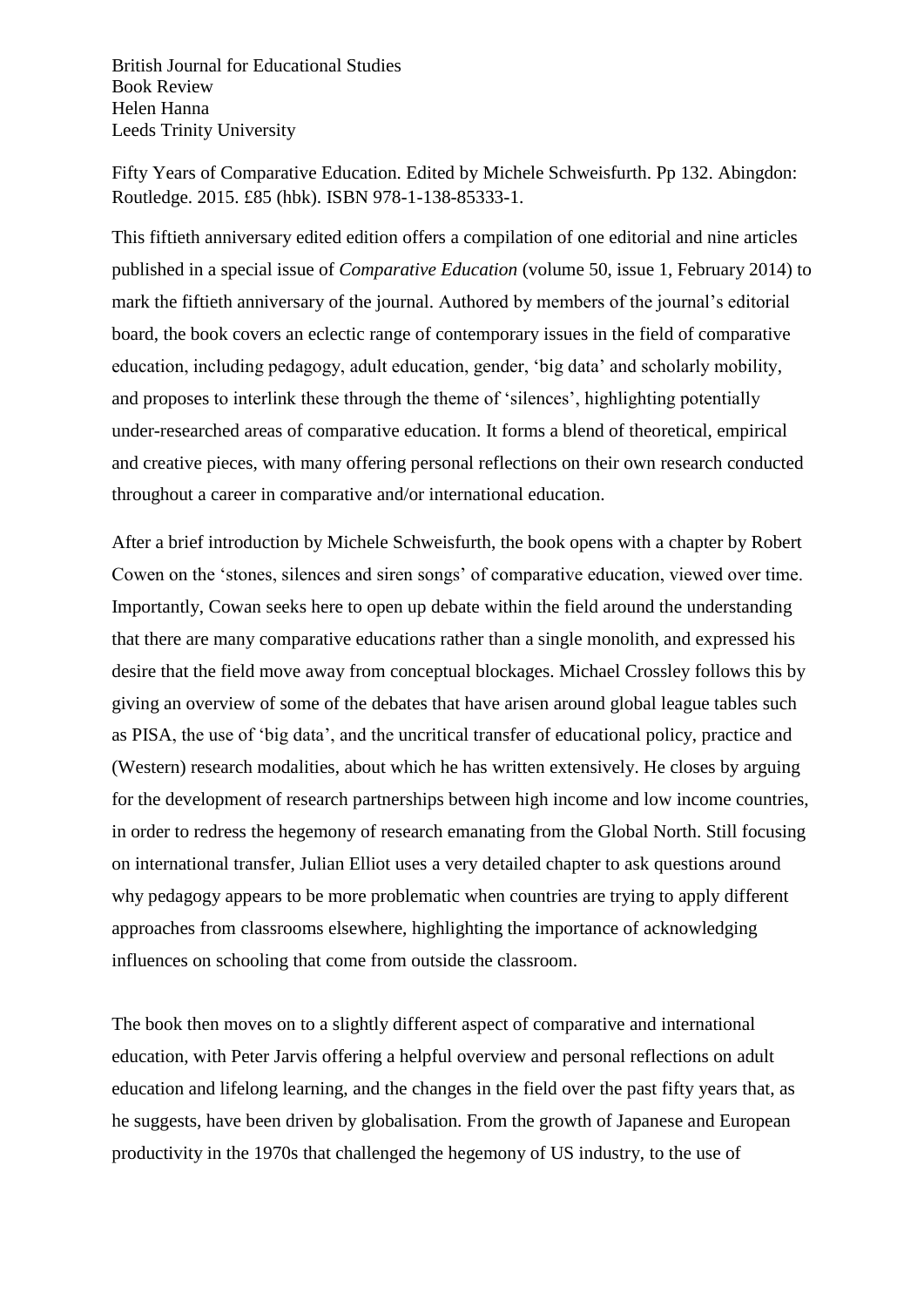British Journal for Educational Studies Book Review Helen Hanna Leeds Trinity University

Fifty Years of Comparative Education. Edited by Michele Schweisfurth. Pp 132. Abingdon: Routledge. 2015. £85 (hbk). ISBN 978-1-138-85333-1.

This fiftieth anniversary edited edition offers a compilation of one editorial and nine articles published in a special issue of *Comparative Education* (volume 50, issue 1, February 2014) to mark the fiftieth anniversary of the journal. Authored by members of the journal's editorial board, the book covers an eclectic range of contemporary issues in the field of comparative education, including pedagogy, adult education, gender, 'big data' and scholarly mobility, and proposes to interlink these through the theme of 'silences', highlighting potentially under-researched areas of comparative education. It forms a blend of theoretical, empirical and creative pieces, with many offering personal reflections on their own research conducted throughout a career in comparative and/or international education.

After a brief introduction by Michele Schweisfurth, the book opens with a chapter by Robert Cowen on the 'stones, silences and siren songs' of comparative education, viewed over time. Importantly, Cowan seeks here to open up debate within the field around the understanding that there are many comparative education*s* rather than a single monolith, and expressed his desire that the field move away from conceptual blockages. Michael Crossley follows this by giving an overview of some of the debates that have arisen around global league tables such as PISA, the use of 'big data', and the uncritical transfer of educational policy, practice and (Western) research modalities, about which he has written extensively. He closes by arguing for the development of research partnerships between high income and low income countries, in order to redress the hegemony of research emanating from the Global North. Still focusing on international transfer, Julian Elliot uses a very detailed chapter to ask questions around why pedagogy appears to be more problematic when countries are trying to apply different approaches from classrooms elsewhere, highlighting the importance of acknowledging influences on schooling that come from outside the classroom.

The book then moves on to a slightly different aspect of comparative and international education, with Peter Jarvis offering a helpful overview and personal reflections on adult education and lifelong learning, and the changes in the field over the past fifty years that, as he suggests, have been driven by globalisation. From the growth of Japanese and European productivity in the 1970s that challenged the hegemony of US industry, to the use of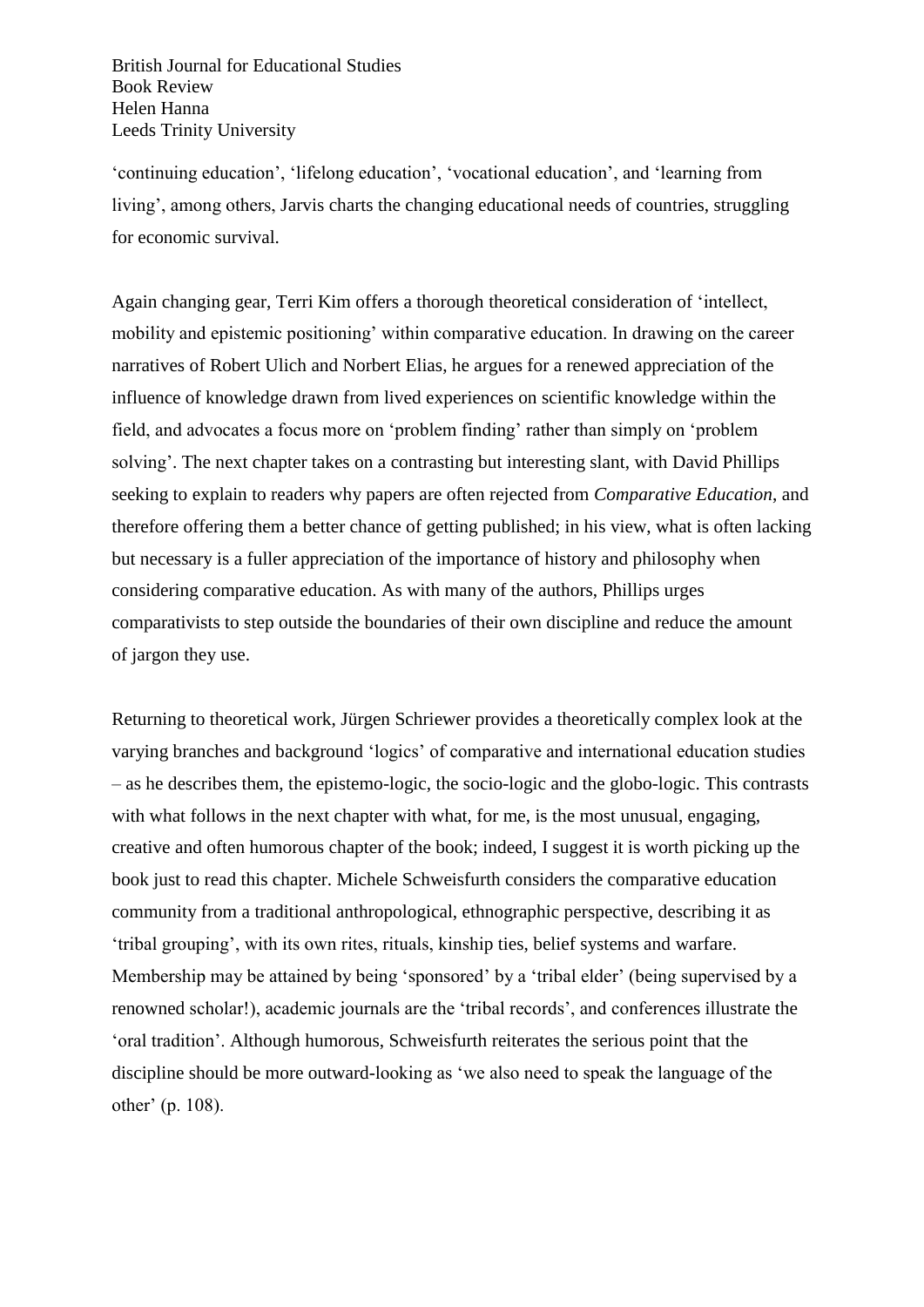British Journal for Educational Studies Book Review Helen Hanna Leeds Trinity University

'continuing education', 'lifelong education', 'vocational education', and 'learning from living', among others, Jarvis charts the changing educational needs of countries, struggling for economic survival.

Again changing gear, Terri Kim offers a thorough theoretical consideration of 'intellect, mobility and epistemic positioning' within comparative education. In drawing on the career narratives of Robert Ulich and Norbert Elias, he argues for a renewed appreciation of the influence of knowledge drawn from lived experiences on scientific knowledge within the field, and advocates a focus more on 'problem finding' rather than simply on 'problem solving'. The next chapter takes on a contrasting but interesting slant, with David Phillips seeking to explain to readers why papers are often rejected from *Comparative Education*, and therefore offering them a better chance of getting published; in his view, what is often lacking but necessary is a fuller appreciation of the importance of history and philosophy when considering comparative education. As with many of the authors, Phillips urges comparativists to step outside the boundaries of their own discipline and reduce the amount of jargon they use.

Returning to theoretical work, Jürgen Schriewer provides a theoretically complex look at the varying branches and background 'logics' of comparative and international education studies – as he describes them, the epistemo-logic, the socio-logic and the globo-logic. This contrasts with what follows in the next chapter with what, for me, is the most unusual, engaging, creative and often humorous chapter of the book; indeed, I suggest it is worth picking up the book just to read this chapter. Michele Schweisfurth considers the comparative education community from a traditional anthropological, ethnographic perspective, describing it as 'tribal grouping', with its own rites, rituals, kinship ties, belief systems and warfare. Membership may be attained by being 'sponsored' by a 'tribal elder' (being supervised by a renowned scholar!), academic journals are the 'tribal records', and conferences illustrate the 'oral tradition'. Although humorous, Schweisfurth reiterates the serious point that the discipline should be more outward-looking as 'we also need to speak the language of the other' (p. 108).